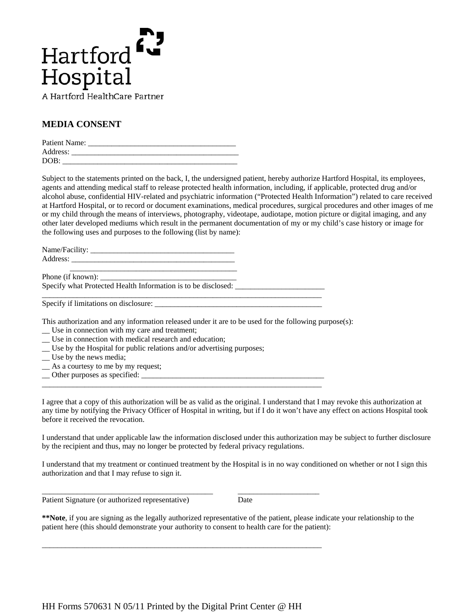

## **MEDIA CONSENT**

| Patient Name: |  |
|---------------|--|
| Address:      |  |
| DOB:          |  |

Subject to the statements printed on the back, I, the undersigned patient, hereby authorize Hartford Hospital, its employees, agents and attending medical staff to release protected health information, including, if applicable, protected drug and/or alcohol abuse, confidential HIV-related and psychiatric information ("Protected Health Information") related to care received at Hartford Hospital, or to record or document examinations, medical procedures, surgical procedures and other images of me or my child through the means of interviews, photography, videotape, audiotape, motion picture or digital imaging, and any other later developed mediums which result in the permanent documentation of my or my child's case history or image for the following uses and purposes to the following (list by name):

| Name/Facility: |  |
|----------------|--|
| Address:       |  |
|                |  |

Phone (if known): \_\_\_\_\_\_\_\_\_\_\_\_\_\_\_\_\_\_\_\_\_\_\_\_\_\_\_\_\_\_\_\_\_\_\_ Specify what Protected Health Information is to be disclosed: \_\_\_\_\_\_\_\_\_\_\_\_\_\_\_\_\_\_\_

Specify if limitations on disclosure: \_\_\_\_\_\_\_\_\_\_\_\_\_\_\_\_\_\_\_\_\_\_\_\_\_\_\_\_\_\_\_\_\_\_\_\_\_\_\_\_\_\_\_

This authorization and any information released under it are to be used for the following purpose(s):

\_\_\_\_\_\_\_\_\_\_\_\_\_\_\_\_\_\_\_\_\_\_\_\_\_\_\_\_\_\_\_\_\_\_\_\_\_\_\_\_\_\_\_\_\_\_\_\_\_\_\_\_\_\_\_\_\_\_\_\_\_\_\_\_\_\_\_\_\_\_\_\_

\_\_\_\_\_\_\_\_\_\_\_\_\_\_\_\_\_\_\_\_\_\_\_\_\_\_\_\_\_\_\_\_\_\_\_\_\_\_\_\_\_\_\_\_\_\_\_\_\_\_\_\_\_\_\_\_\_\_\_\_\_\_\_\_\_\_\_\_\_\_\_\_

\_\_\_\_\_\_\_\_\_\_\_\_\_\_\_\_\_\_\_\_\_\_\_\_\_\_\_\_\_\_\_\_\_\_\_\_\_\_\_\_\_\_\_\_ \_\_\_\_\_\_\_\_\_\_\_\_\_\_\_\_\_\_\_\_\_

\_\_\_\_\_\_\_\_\_\_\_\_\_\_\_\_\_\_\_\_\_\_\_\_\_\_\_\_\_\_\_\_\_\_\_\_\_\_\_\_\_\_\_\_\_\_\_\_\_\_\_\_\_\_\_\_\_\_\_\_\_\_\_\_\_\_\_\_\_\_\_\_

- \_\_ Use in connection with my care and treatment;
- \_\_ Use in connection with medical research and education;
- \_\_ Use by the Hospital for public relations and/or advertising purposes;
- \_\_ Use by the news media;
- \_\_ As a courtesy to me by my request;
- \_\_ Other purposes as specified: \_\_\_\_\_\_\_\_\_\_\_\_\_\_\_\_\_\_\_\_\_\_\_\_\_\_\_\_\_\_\_\_\_\_\_\_\_\_\_\_\_\_\_\_\_\_\_

I agree that a copy of this authorization will be as valid as the original. I understand that I may revoke this authorization at any time by notifying the Privacy Officer of Hospital in writing, but if I do it won't have any effect on actions Hospital took before it received the revocation.

I understand that under applicable law the information disclosed under this authorization may be subject to further disclosure by the recipient and thus, may no longer be protected by federal privacy regulations.

I understand that my treatment or continued treatment by the Hospital is in no way conditioned on whether or not I sign this authorization and that I may refuse to sign it.

Patient Signature (or authorized representative) Date

**\*\*Note**, if you are signing as the legally authorized representative of the patient, please indicate your relationship to the patient here (this should demonstrate your authority to consent to health care for the patient):